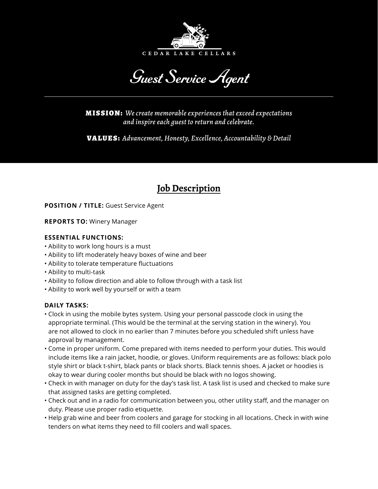

Guest Service Agent

MISSION: *We create memorable experiences that exceed expectations and inspire each guest to return and celebrate.*

VALUES: *Advancement, Honesty, Excellence, Accountability & Detail*

# **Job Description**

**POSITION / TITLE:** Guest Service Agent

**REPORTS TO:** Winery Manager

### **ESSENTIAL FUNCTIONS:**

- Ability to work long hours is a must
- Ability to lift moderately heavy boxes of wine and beer
- Ability to tolerate temperature fluctuations
- Ability to multi-task
- Ability to follow direction and able to follow through with a task list
- Ability to work well by yourself or with a team

## **DAILY TASKS:**

- Clock in using the mobile bytes system. Using your personal passcode clock in using the appropriate terminal. (This would be the terminal at the serving station in the winery). You are not allowed to clock in no earlier than 7 minutes before you scheduled shift unless have approval by management.
- Come in proper uniform. Come prepared with items needed to perform your duties. This would include items like a rain jacket, hoodie, or gloves. Uniform requirements are as follows: black polo style shirt or black t-shirt, black pants or black shorts. Black tennis shoes. A jacket or hoodies is okay to wear during cooler months but should be black with no logos showing.
- Check in with manager on duty for the day's task list. A task list is used and checked to make sure that assigned tasks are getting completed.
- Check out and in a radio for communication between you, other utility staff, and the manager on duty. Please use proper radio etiquette.
- Help grab wine and beer from coolers and garage for stocking in all locations. Check in with wine tenders on what items they need to fill coolers and wall spaces.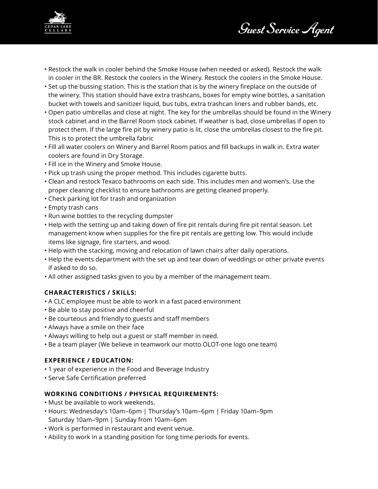Guest Service Agent



- Restock the walk in cooler behind the Smoke House (when needed or asked). Restock the walk in cooler in the BR. Restock the coolers in the Winery. Restock the coolers in the Smoke House.
- Set up the bussing station. This is the station that is by the winery fireplace on the outside of the winery. This station should have extra trashcans, boxes for empty wine bottles, a sanitation bucket with towels and sanitizer liquid, bus tubs, extra trashcan liners and rubber bands, etc.
- Open patio umbrellas and close at night. The key for the umbrellas should be found in the Winery stock cabinet and in the Barrel Room stock cabinet. If weather is bad, close umbrellas if open to protect them. If the large fire pit by winery patio is lit, close the umbrellas closest to the fire pit. This is to protect the umbrella fabric
- Fill all water coolers on Winery and Barrel Room patios and fill backups in walk in. Extra water coolers are found in Dry Storage.
- Fill ice in the Winery and Smoke House.
- Pick up trash using the proper method. This includes cigarette butts.
- Clean and restock Texaco bathrooms on each side. This includes men and women's. Use the proper cleaning checklist to ensure bathrooms are getting cleaned properly.
- Check parking lot for trash and organization
- Empty trash cans
- Run wine bottles to the recycling dumpster
- Help with the setting up and taking down of fire pit rentals during fire pit rental season. Let management know when supplies for the fire pit rentals are getting low. This would include items like signage, fire starters, and wood.
- Help with the stacking, moving and relocation of lawn chairs after daily operations.
- Help the events department with the set up and tear down of weddings or other private events if asked to do so.
- All other assigned tasks given to you by a member of the management team.

#### **CHARACTERISTICS / SKILLS:**

- A CLC employee must be able to work in a fast paced environment
- Be able to stay positive and cheerful
- Be courteous and friendly to guests and staff members
- Always have a smile on their face
- Always willing to help out a guest or staff member in need.
- Be a team player (We believe in teamwork our motto OLOT-one logo one team)

#### **EXPERIENCE / EDUCATION:**

- 1 year of experience in the Food and Beverage Industry
- Serve Safe Certification preferred

#### **WORKING CONDITIONS / PHYSICAL REQUIREMENTS:**

- Must be available to work weekends.
- Hours: Wednesday's 10am–6pm | Thursday's 10am–6pm | Friday 10am–9pm Saturday 10am–9pm | Sunday from 10am–6pm
- Work is performed in restaurant and event venue.
- Ability to work in a standing position for long time periods for events.